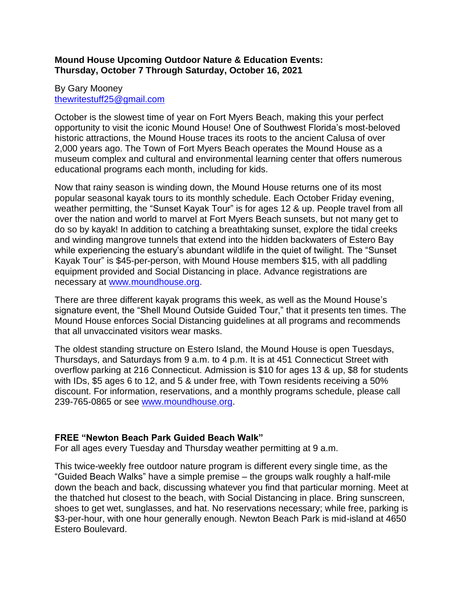## **Mound House Upcoming Outdoor Nature & Education Events: Thursday, October 7 Through Saturday, October 16, 2021**

## By Gary Mooney [thewritestuff25@gmail.com](mailto:thewritestuff25@gmail.com)

October is the slowest time of year on Fort Myers Beach, making this your perfect opportunity to visit the iconic Mound House! One of Southwest Florida's most-beloved historic attractions, the Mound House traces its roots to the ancient Calusa of over 2,000 years ago. The Town of Fort Myers Beach operates the Mound House as a museum complex and cultural and environmental learning center that offers numerous educational programs each month, including for kids.

Now that rainy season is winding down, the Mound House returns one of its most popular seasonal kayak tours to its monthly schedule. Each October Friday evening, weather permitting, the "Sunset Kayak Tour" is for ages 12 & up. People travel from all over the nation and world to marvel at Fort Myers Beach sunsets, but not many get to do so by kayak! In addition to catching a breathtaking sunset, explore the tidal creeks and winding mangrove tunnels that extend into the hidden backwaters of Estero Bay while experiencing the estuary's abundant wildlife in the quiet of twilight. The "Sunset Kayak Tour" is \$45-per-person, with Mound House members \$15, with all paddling equipment provided and Social Distancing in place. Advance registrations are necessary at [www.moundhouse.org.](http://www.moundhouse.org/)

There are three different kayak programs this week, as well as the Mound House's signature event, the "Shell Mound Outside Guided Tour," that it presents ten times. The Mound House enforces Social Distancing guidelines at all programs and recommends that all unvaccinated visitors wear masks.

The oldest standing structure on Estero Island, the Mound House is open Tuesdays, Thursdays, and Saturdays from 9 a.m. to 4 p.m. It is at 451 Connecticut Street with overflow parking at 216 Connecticut. Admission is \$10 for ages 13 & up, \$8 for students with IDs, \$5 ages 6 to 12, and 5 & under free, with Town residents receiving a 50% discount. For information, reservations, and a monthly programs schedule, please call 239-765-0865 or see [www.moundhouse.org.](http://www.moundhouse.org/)

## **FREE "Newton Beach Park Guided Beach Walk"**

For all ages every Tuesday and Thursday weather permitting at 9 a.m.

This twice-weekly free outdoor nature program is different every single time, as the "Guided Beach Walks" have a simple premise – the groups walk roughly a half-mile down the beach and back, discussing whatever you find that particular morning. Meet at the thatched hut closest to the beach, with Social Distancing in place. Bring sunscreen, shoes to get wet, sunglasses, and hat. No reservations necessary; while free, parking is \$3-per-hour, with one hour generally enough. Newton Beach Park is mid-island at 4650 Estero Boulevard.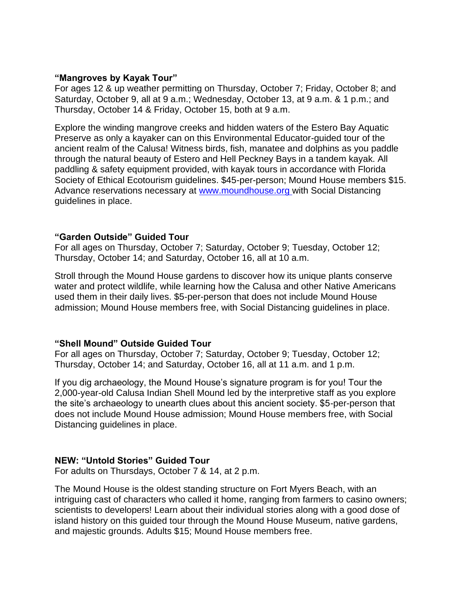#### **"Mangroves by Kayak Tour"**

For ages 12 & up weather permitting on Thursday, October 7; Friday, October 8; and Saturday, October 9, all at 9 a.m.; Wednesday, October 13, at 9 a.m. & 1 p.m.; and Thursday, October 14 & Friday, October 15, both at 9 a.m.

Explore the winding mangrove creeks and hidden waters of the Estero Bay Aquatic Preserve as only a kayaker can on this Environmental Educator-guided tour of the ancient realm of the Calusa! Witness birds, fish, manatee and dolphins as you paddle through the natural beauty of Estero and Hell Peckney Bays in a tandem kayak. All paddling & safety equipment provided, with kayak tours in accordance with Florida Society of Ethical Ecotourism guidelines. \$45-per-person; Mound House members \$15. Advance reservations necessary at [www.moundhouse.org](http://www.moundhouse.org/) with Social Distancing guidelines in place.

## **"Garden Outside" Guided Tour**

For all ages on Thursday, October 7; Saturday, October 9; Tuesday, October 12; Thursday, October 14; and Saturday, October 16, all at 10 a.m.

Stroll through the Mound House gardens to discover how its unique plants conserve water and protect wildlife, while learning how the Calusa and other Native Americans used them in their daily lives. \$5-per-person that does not include Mound House admission; Mound House members free, with Social Distancing guidelines in place.

## **"Shell Mound" Outside Guided Tour**

For all ages on Thursday, October 7; Saturday, October 9; Tuesday, October 12; Thursday, October 14; and Saturday, October 16, all at 11 a.m. and 1 p.m.

If you dig archaeology, the Mound House's signature program is for you! Tour the 2,000-year-old Calusa Indian Shell Mound led by the interpretive staff as you explore the site's archaeology to unearth clues about this ancient society. \$5-per-person that does not include Mound House admission; Mound House members free, with Social Distancing guidelines in place.

## **NEW: "Untold Stories" Guided Tour**

For adults on Thursdays, October 7 & 14, at 2 p.m.

The Mound House is the oldest standing structure on Fort Myers Beach, with an intriguing cast of characters who called it home, ranging from farmers to casino owners; scientists to developers! Learn about their individual stories along with a good dose of island history on this guided tour through the Mound House Museum, native gardens, and majestic grounds. Adults \$15; Mound House members free.